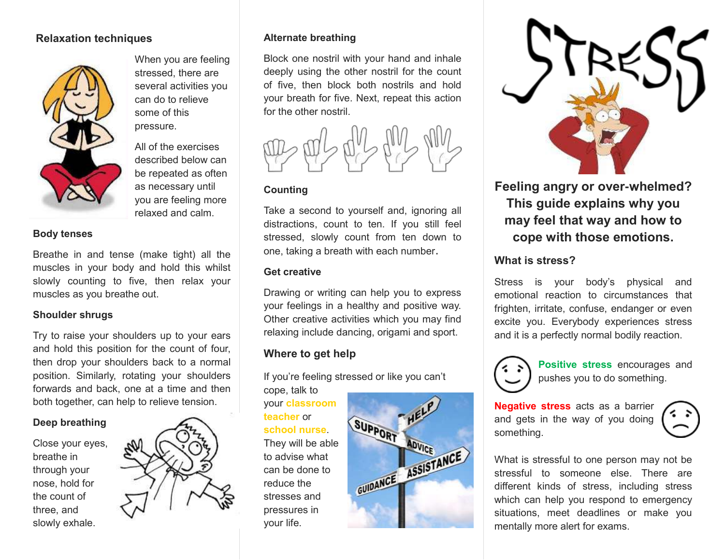### **Relaxation techniques**



When you are feeling stressed, there are several activities you can do to relieve some of this pressure.

All of the exercises described below can be repeated as often as necessary until you are feeling more relaxed and calm.

#### **Body tenses**

Breathe in and tense (make tight) all the muscles in your body and hold this whilst slowly counting to five, then relax your muscles as you breathe out.

#### **Shoulder shrugs**

Try to raise your shoulders up to your ears and hold this position for the count of four, then drop your shoulders back to a normal position. Similarly, rotating your shoulders forwards and back, one at a time and then both together, can help to relieve tension.

#### **Deep breathing**

Close your eyes, breathe in through your nose, hold for the count of three, and slowly exhale.



#### **Alternate breathing**

Block one nostril with your hand and inhale deeply using the other nostril for the count of five, then block both nostrils and hold your breath for five. Next, repeat this action for the other nostril.



### **Counting**

Take a second to yourself and, ignoring all distractions, count to ten. If you still feel stressed, slowly count from ten down to one, taking a breath with each number.

#### **Get creative**

Drawing or writing can help you to express your feelings in a healthy and positive way. Other creative activities which you may find relaxing include dancing, origami and sport.

# **Where to get help**

If you're feeling stressed or like you can't cope, talk to

your **classroom teacher** or **school nurse**. They will be able to advise what can be done to reduce the stresses and pressures in your life.





# **Feeling angry or over-whelmed? This guide explains why you may feel that way and how to cope with those emotions.**

### **What is stress?**

Stress is your body's physical and emotional reaction to circumstances that frighten, irritate, confuse, endanger or even excite you. Everybody experiences stress and it is a perfectly normal bodily reaction.



**Positive stress** encourages and pushes you to do something.

**Negative stress** acts as a barrier and gets in the way of you doing something.

What is stressful to one person may not be stressful to someone else. There are different kinds of stress, including stress which can help you respond to emergency situations, meet deadlines or make you mentally more alert for exams.